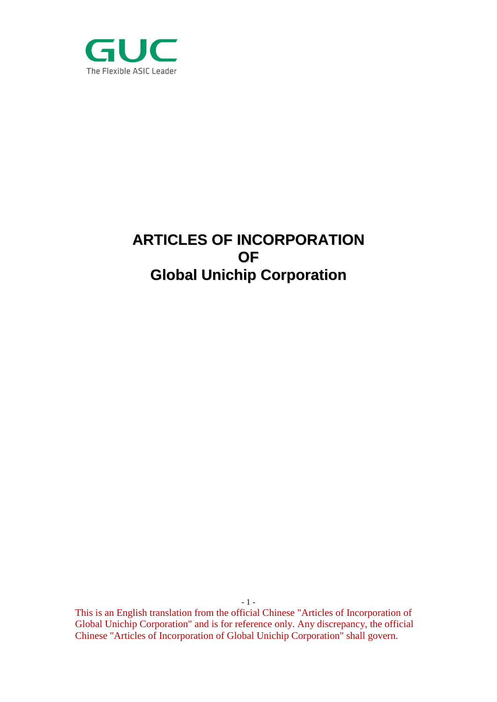

# **ARTICLES OF INCORPORATION OF Global Unichip Corporation**

- 1 -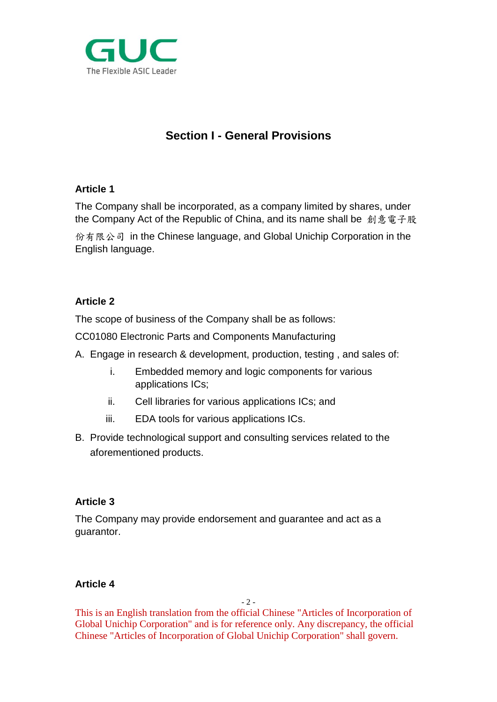

# **Section I - General Provisions**

## **Article 1**

The Company shall be incorporated, as a company limited by shares, under the Company Act of the Republic of China, and its name shall be 創意電子股

份有限公司 in the Chinese language, and Global Unichip Corporation in the English language.

# **Article 2**

The scope of business of the Company shall be as follows:

CC01080 Electronic Parts and Components Manufacturing

- A. Engage in research & development, production, testing , and sales of:
	- i. Embedded memory and logic components for various applications ICs;
	- ii. Cell libraries for various applications ICs; and
	- iii. EDA tools for various applications ICs.
- B. Provide technological support and consulting services related to the aforementioned products.

## **Article 3**

The Company may provide endorsement and guarantee and act as a guarantor.

## **Article 4**

 $-2 -$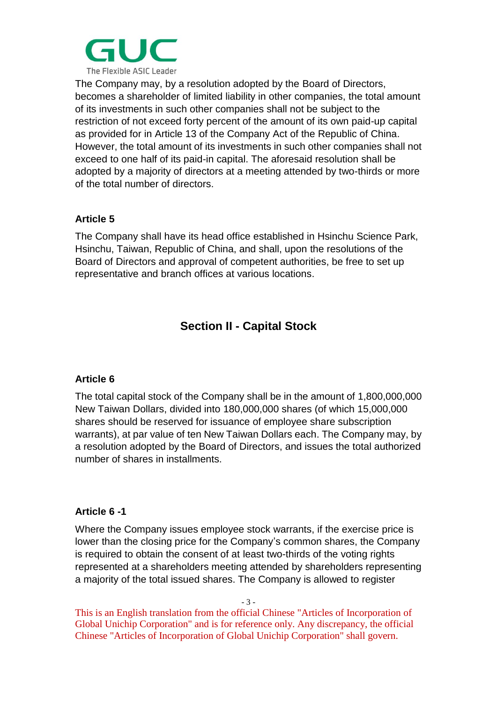

The Company may, by a resolution adopted by the Board of Directors, becomes a shareholder of limited liability in other companies, the total amount of its investments in such other companies shall not be subject to the restriction of not exceed forty percent of the amount of its own paid-up capital as provided for in Article 13 of the Company Act of the Republic of China. However, the total amount of its investments in such other companies shall not exceed to one half of its paid-in capital. The aforesaid resolution shall be adopted by a majority of directors at a meeting attended by two-thirds or more of the total number of directors.

## **Article 5**

The Company shall have its head office established in Hsinchu Science Park, Hsinchu, Taiwan, Republic of China, and shall, upon the resolutions of the Board of Directors and approval of competent authorities, be free to set up representative and branch offices at various locations.

# **Section II - Capital Stock**

#### **Article 6**

The total capital stock of the Company shall be in the amount of 1,800,000,000 New Taiwan Dollars, divided into 180,000,000 shares (of which 15,000,000 shares should be reserved for issuance of employee share subscription warrants), at par value of ten New Taiwan Dollars each. The Company may, by a resolution adopted by the Board of Directors, and issues the total authorized number of shares in installments.

#### **Article 6 -1**

Where the Company issues employee stock warrants, if the exercise price is lower than the closing price for the Company's common shares, the Company is required to obtain the consent of at least two-thirds of the voting rights represented at a shareholders meeting attended by shareholders representing a majority of the total issued shares. The Company is allowed to register

- 3 -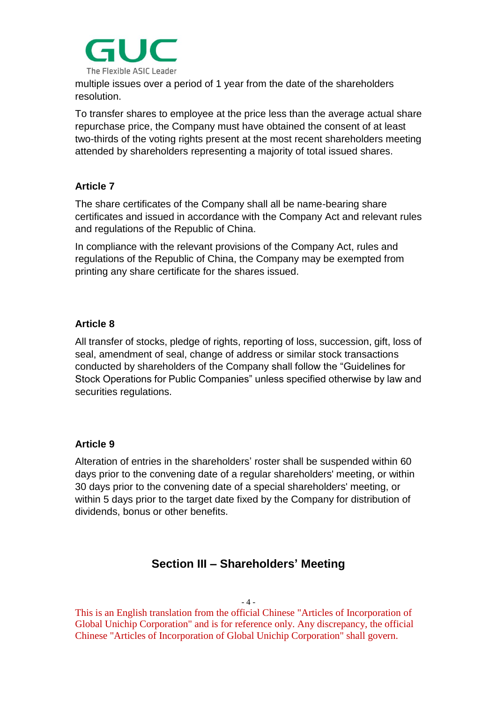

multiple issues over a period of 1 year from the date of the shareholders resolution.

To transfer shares to employee at the price less than the average actual share repurchase price, the Company must have obtained the consent of at least two-thirds of the voting rights present at the most recent shareholders meeting attended by shareholders representing a majority of total issued shares.

## **Article 7**

The share certificates of the Company shall all be name-bearing share certificates and issued in accordance with the Company Act and relevant rules and regulations of the Republic of China.

In compliance with the relevant provisions of the Company Act, rules and regulations of the Republic of China, the Company may be exempted from printing any share certificate for the shares issued.

#### **Article 8**

All transfer of stocks, pledge of rights, reporting of loss, succession, gift, loss of seal, amendment of seal, change of address or similar stock transactions conducted by shareholders of the Company shall follow the "Guidelines for Stock Operations for Public Companies" unless specified otherwise by law and securities regulations.

## **Article 9**

Alteration of entries in the shareholders' roster shall be suspended within 60 days prior to the convening date of a regular shareholders' meeting, or within 30 days prior to the convening date of a special shareholders' meeting, or within 5 days prior to the target date fixed by the Company for distribution of dividends, bonus or other benefits.

# **Section III – Shareholders' Meeting**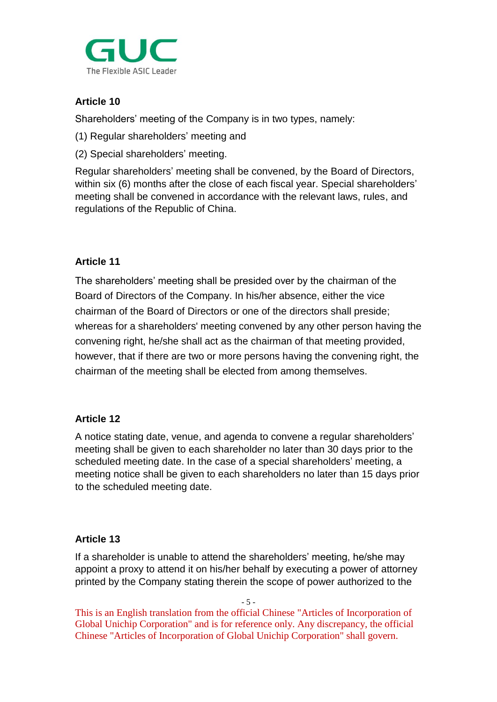

# **Article 10**

Shareholders' meeting of the Company is in two types, namely:

- (1) Regular shareholders' meeting and
- (2) Special shareholders' meeting.

Regular shareholders' meeting shall be convened, by the Board of Directors, within six (6) months after the close of each fiscal year. Special shareholders' meeting shall be convened in accordance with the relevant laws, rules, and regulations of the Republic of China.

## **Article 11**

The shareholders' meeting shall be presided over by the chairman of the Board of Directors of the Company. In his/her absence, either the vice chairman of the Board of Directors or one of the directors shall preside; whereas for a shareholders' meeting convened by any other person having the convening right, he/she shall act as the chairman of that meeting provided, however, that if there are two or more persons having the convening right, the chairman of the meeting shall be elected from among themselves.

#### **Article 12**

A notice stating date, venue, and agenda to convene a regular shareholders' meeting shall be given to each shareholder no later than 30 days prior to the scheduled meeting date. In the case of a special shareholders' meeting, a meeting notice shall be given to each shareholders no later than 15 days prior to the scheduled meeting date.

#### **Article 13**

If a shareholder is unable to attend the shareholders' meeting, he/she may appoint a proxy to attend it on his/her behalf by executing a power of attorney printed by the Company stating therein the scope of power authorized to the

- 5 -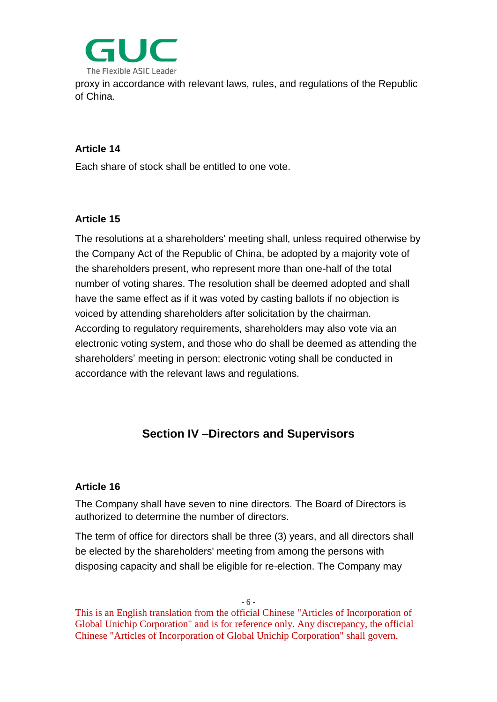

proxy in accordance with relevant laws, rules, and regulations of the Republic of China.

#### **Article 14**

Each share of stock shall be entitled to one vote.

#### **Article 15**

The resolutions at a shareholders' meeting shall, unless required otherwise by the Company Act of the Republic of China, be adopted by a majority vote of the shareholders present, who represent more than one-half of the total number of voting shares. The resolution shall be deemed adopted and shall have the same effect as if it was voted by casting ballots if no objection is voiced by attending shareholders after solicitation by the chairman. According to regulatory requirements, shareholders may also vote via an electronic voting system, and those who do shall be deemed as attending the shareholders' meeting in person; electronic voting shall be conducted in accordance with the relevant laws and regulations.

# **Section IV –Directors and Supervisors**

#### **Article 16**

The Company shall have seven to nine directors. The Board of Directors is authorized to determine the number of directors.

The term of office for directors shall be three (3) years, and all directors shall be elected by the shareholders' meeting from among the persons with disposing capacity and shall be eligible for re-election. The Company may

- 6 -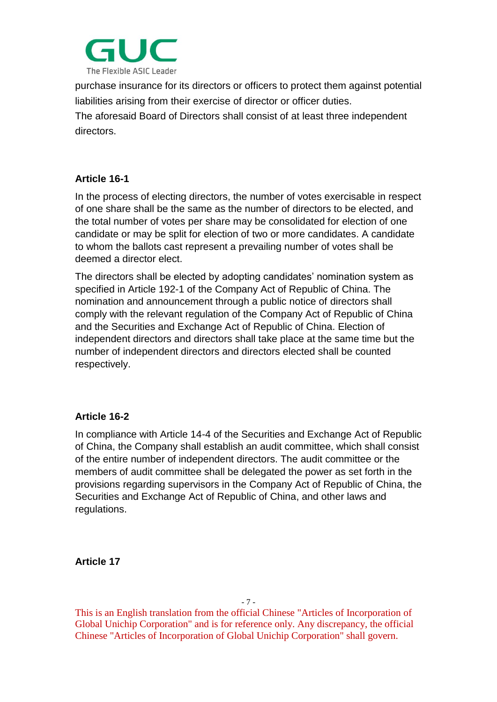

purchase insurance for its directors or officers to protect them against potential liabilities arising from their exercise of director or officer duties.

The aforesaid Board of Directors shall consist of at least three independent directors.

# **Article 16-1**

In the process of electing directors, the number of votes exercisable in respect of one share shall be the same as the number of directors to be elected, and the total number of votes per share may be consolidated for election of one candidate or may be split for election of two or more candidates. A candidate to whom the ballots cast represent a prevailing number of votes shall be deemed a director elect.

The directors shall be elected by adopting candidates' nomination system as specified in Article 192-1 of the Company Act of Republic of China. The nomination and announcement through a public notice of directors shall comply with the relevant regulation of the Company Act of Republic of China and the Securities and Exchange Act of Republic of China. Election of independent directors and directors shall take place at the same time but the number of independent directors and directors elected shall be counted respectively.

## **Article 16-2**

In compliance with Article 14-4 of the Securities and Exchange Act of Republic of China, the Company shall establish an audit committee, which shall consist of the entire number of independent directors. The audit committee or the members of audit committee shall be delegated the power as set forth in the provisions regarding supervisors in the Company Act of Republic of China, the Securities and Exchange Act of Republic of China, and other laws and regulations.

**Article 17**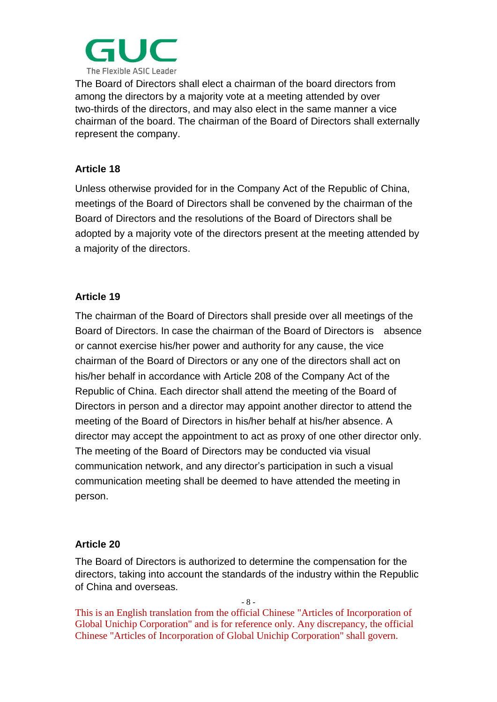

The Board of Directors shall elect a chairman of the board directors from among the directors by a majority vote at a meeting attended by over two-thirds of the directors, and may also elect in the same manner a vice chairman of the board. The chairman of the Board of Directors shall externally represent the company.

## **Article 18**

Unless otherwise provided for in the Company Act of the Republic of China, meetings of the Board of Directors shall be convened by the chairman of the Board of Directors and the resolutions of the Board of Directors shall be adopted by a majority vote of the directors present at the meeting attended by a majority of the directors.

## **Article 19**

The chairman of the Board of Directors shall preside over all meetings of the Board of Directors. In case the chairman of the Board of Directors is absence or cannot exercise his/her power and authority for any cause, the vice chairman of the Board of Directors or any one of the directors shall act on his/her behalf in accordance with Article 208 of the Company Act of the Republic of China. Each director shall attend the meeting of the Board of Directors in person and a director may appoint another director to attend the meeting of the Board of Directors in his/her behalf at his/her absence. A director may accept the appointment to act as proxy of one other director only. The meeting of the Board of Directors may be conducted via visual communication network, and any director's participation in such a visual communication meeting shall be deemed to have attended the meeting in person.

## **Article 20**

The Board of Directors is authorized to determine the compensation for the directors, taking into account the standards of the industry within the Republic of China and overseas.

- 8 -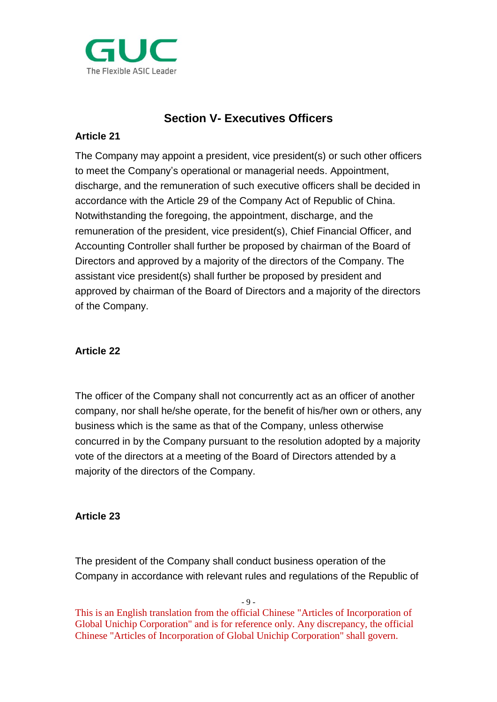

# **Section V- Executives Officers**

## **Article 21**

The Company may appoint a president, vice president(s) or such other officers to meet the Company's operational or managerial needs. Appointment, discharge, and the remuneration of such executive officers shall be decided in accordance with the Article 29 of the Company Act of Republic of China. Notwithstanding the foregoing, the appointment, discharge, and the remuneration of the president, vice president(s), Chief Financial Officer, and Accounting Controller shall further be proposed by chairman of the Board of Directors and approved by a majority of the directors of the Company. The assistant vice president(s) shall further be proposed by president and approved by chairman of the Board of Directors and a majority of the directors of the Company.

# **Article 22**

The officer of the Company shall not concurrently act as an officer of another company, nor shall he/she operate, for the benefit of his/her own or others, any business which is the same as that of the Company, unless otherwise concurred in by the Company pursuant to the resolution adopted by a majority vote of the directors at a meeting of the Board of Directors attended by a majority of the directors of the Company.

## **Article 23**

The president of the Company shall conduct business operation of the Company in accordance with relevant rules and regulations of the Republic of

 $-9 -$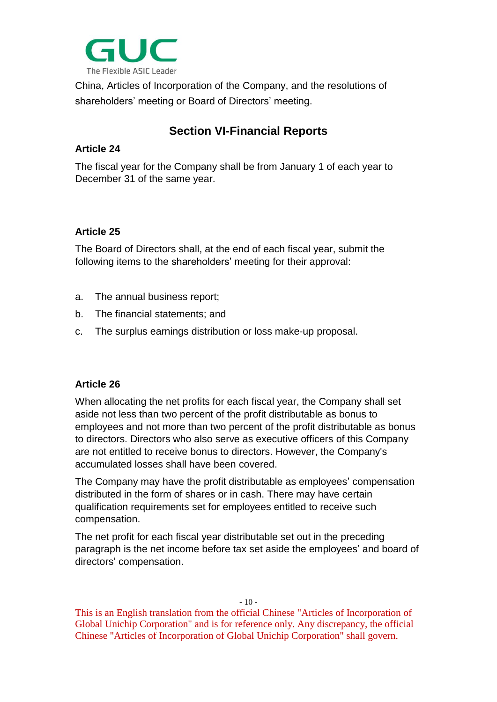

China, Articles of Incorporation of the Company, and the resolutions of shareholders' meeting or Board of Directors' meeting.

# **Section VI-Financial Reports**

#### **Article 24**

The fiscal year for the Company shall be from January 1 of each year to December 31 of the same year.

#### **Article 25**

The Board of Directors shall, at the end of each fiscal year, submit the following items to the shareholders' meeting for their approval:

- a. The annual business report;
- b. The financial statements; and
- c. The surplus earnings distribution or loss make-up proposal.

#### **Article 26**

When allocating the net profits for each fiscal year, the Company shall set aside not less than two percent of the profit distributable as bonus to employees and not more than two percent of the profit distributable as bonus to directors. Directors who also serve as executive officers of this Company are not entitled to receive bonus to directors. However, the Company's accumulated losses shall have been covered.

The Company may have the profit distributable as employees' compensation distributed in the form of shares or in cash. There may have certain qualification requirements set for employees entitled to receive such compensation.

The net profit for each fiscal year distributable set out in the preceding paragraph is the net income before tax set aside the employees' and board of directors' compensation.

 $-10-$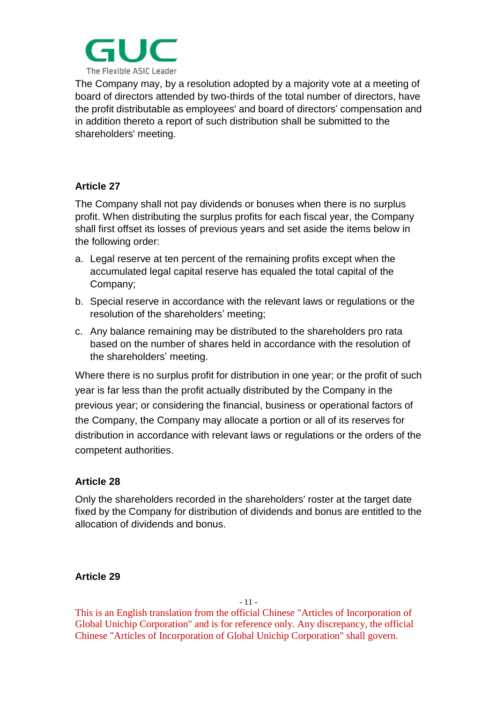

The Company may, by a resolution adopted by a majority vote at a meeting of board of directors attended by two-thirds of the total number of directors, have the profit distributable as employees' and board of directors' compensation and in addition thereto a report of such distribution shall be submitted to the shareholders' meeting.

#### **Article 27**

The Company shall not pay dividends or bonuses when there is no surplus profit. When distributing the surplus profits for each fiscal year, the Company shall first offset its losses of previous years and set aside the items below in the following order:

- a. Legal reserve at ten percent of the remaining profits except when the accumulated legal capital reserve has equaled the total capital of the Company;
- b. Special reserve in accordance with the relevant laws or regulations or the resolution of the shareholders' meeting;
- c. Any balance remaining may be distributed to the shareholders pro rata based on the number of shares held in accordance with the resolution of the shareholders' meeting.

Where there is no surplus profit for distribution in one year; or the profit of such year is far less than the profit actually distributed by the Company in the previous year; or considering the financial, business or operational factors of the Company, the Company may allocate a portion or all of its reserves for distribution in accordance with relevant laws or regulations or the orders of the competent authorities.

## **Article 28**

Only the shareholders recorded in the shareholders' roster at the target date fixed by the Company for distribution of dividends and bonus are entitled to the allocation of dividends and bonus.

#### **Article 29**

- 11 -